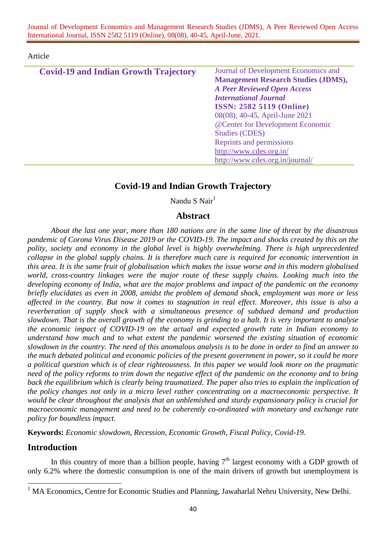#### Article

| <b>Covid-19 and Indian Growth Trajectory</b> | Journal of Development Economics and       |
|----------------------------------------------|--------------------------------------------|
|                                              | <b>Management Research Studies (JDMS),</b> |
|                                              | <b>A Peer Reviewed Open Access</b>         |
|                                              | <b>International Journal</b>               |
|                                              | <b>ISSN: 2582 5119 (Online)</b>            |
|                                              | 08(08), 40-45, April-June 2021             |
|                                              | @Center for Development Economic           |
|                                              | <b>Studies (CDES)</b>                      |
|                                              | Reprints and permissions                   |
|                                              | http://www.cdes.org.in/                    |
|                                              | http://www.cdes.org.in/journal/            |

# **Covid-19 and Indian Growth Trajectory**

Nandu S Nair<sup>1</sup>

# **Abstract**

*About the last one year, more than 180 nations are in the same line of threat by the disastrous pandemic of Corona Virus Disease 2019 or the COVID-19. The impact and shocks created by this on the polity, society and economy in the global level is highly overwhelming. There is high unprecedented collapse in the global supply chains. It is therefore much care is required for economic intervention in this area. It is the same fruit of globalisation which makes the issue worse and in this modern globalised world, cross-country linkages were the major route of these supply chains. Looking much into the developing economy of India, what are the major problems and impact of the pandemic on the economy briefly elucidates as even in 2008, amidst the problem of demand shock, employment was more or less affected in the country. But now it comes to stagnation in real effect. Moreover, this issue is also a reverberation of supply shock with a simultaneous presence of subdued demand and production slowdown. That is the overall growth of the economy is grinding to a halt. It is very important to analyse the economic impact of COVID-19 on the actual and expected growth rate in Indian economy to understand how much and to what extent the pandemic worsened the existing situation of economic slowdown in the country. The need of this anomalous analysis is to be done in order to find an answer to the much debated political and economic policies of the present government in power, so it could be more a political question which is of clear righteousness. In this paper we would look more on the pragmatic need of the policy reforms to trim down the negative effect of the pandemic on the economy and to bring back the equilibrium which is clearly being traumatized. The paper also tries to explain the implication of the policy changes not only in a micro level rather concentrating on a macroeconomic perspective. It would be clear throughout the analysis that an unblemished and sturdy expansionary policy is crucial for macroeconomic management and need to be coherently co-ordinated with monetary and exchange rate policy for boundless impact.* 

**Keywords:** *Economic slowdown, Recession, Economic Growth, Fiscal Policy, Covid-19.*

# **Introduction**

 $\overline{a}$ 

In this country of more than a billion people, having  $7<sup>th</sup>$  largest economy with a GDP growth of only 6.2% where the domestic consumption is one of the main drivers of growth but unemployment is

<sup>&</sup>lt;sup>1</sup> MA Economics, Centre for Economic Studies and Planning, Jawaharlal Nehru University, New Delhi.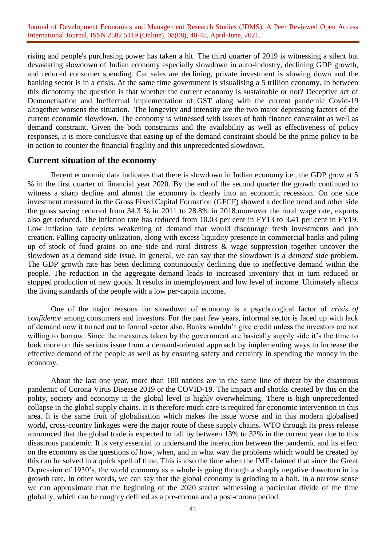rising and people's purchasing power has taken a hit. The third quarter of 2019 is witnessing a silent but devastating slowdown of Indian economy especially slowdown in auto-industry, declining GDP growth, and reduced consumer spending. Car sales are declining, private investment is slowing down and the banking sector is in a crisis. At the same time government is visualising a 5 trillion economy. In between this dichotomy the question is that whether the current economy is sustainable or not? Deceptive act of Demonetisation and Ineffectual implementation of GST along with the current pandemic Covid-19 altogether worsens the situation. The longevity and intensity are the two major depressing factors of the current economic slowdown. The economy is witnessed with issues of both finance constraint as well as demand constraint. Given the both constraints and the availability as well as effectiveness of policy responses, it is more conclusive that easing up of the demand constraint should be the prime policy to be in action to counter the financial fragility and this unprecedented slowdown.

## **Current situation of the economy**

Recent economic data indicates that there is slowdown in Indian economy i.e., the GDP grow at 5 % in the first quarter of financial year 2020. By the end of the second quarter the growth continued to witness a sharp decline and almost the economy is clearly into an economic recession. On one side investment measured in the Gross Fixed Capital Formation (GFCF) showed a decline trend and other side the gross saving reduced from 34.3 % in 2011 to 28.8% in 2018.moreover the rural wage rate, exports also get reduced. The inflation rate has reduced from 10.03 per cent in FY13 to 3.41 per cent in FY19. Low inflation rate depicts weakening of demand that would discourage fresh investments and job creation. Falling capacity utilization, along with excess liquidity presence in commercial banks and piling up of stock of food grains on one side and rural distress & wage suppression together uncover the slowdown as a demand side issue. In general, we can say that the slowdown is a *demand side* problem. The GDP growth rate has been declining continuously declining due to ineffective demand within the people. The reduction in the aggregate demand leads to increased inventory that in turn reduced or stopped production of new goods. It results in unemployment and low level of income. Ultimately affects the living standards of the people with a low per-capita income.

One of the major reasons for slowdown of economy is a psychological factor of *crisis of confidence* among consumers and investors. For the past few years, informal sector is faced up with lack of demand now it turned out to formal sector also. Banks wouldn't give credit unless the investors are not willing to borrow. Since the measures taken by the government are basically supply side it's the time to look more on this serious issue from a demand-oriented approach by implementing ways to increase the effective demand of the people as well as by ensuring safety and certainty in spending the money in the economy.

About the last one year, more than 180 nations are in the same line of threat by the disastrous pandemic of Corona Virus Disease 2019 or the COVID-19. The impact and shocks created by this on the polity, society and economy in the global level is highly overwhelming. There is high unprecedented collapse in the global supply chains. It is therefore much care is required for economic intervention in this area. It is the same fruit of globalisation which makes the issue worse and in this modern globalised world, cross-country linkages were the major route of these supply chains. WTO through its press release announced that the global trade is expected to fall by between 13% to 32% in the current year due to this disastrous pandemic. It is very essential to understand the interaction between the pandemic and its effect on the economy as the questions of how, when, and in what way the problems which would be created by this can be solved in a quick spell of time. This is also the time when the IMF claimed that since the Great Depression of 1930's, the world economy as a whole is going through a sharply negative downturn in its growth rate. In other words, we can say that the global economy is grinding to a halt. In a narrow sense we can approximate that the beginning of the 2020 started witnessing a particular divide of the time globally, which can be roughly defined as a pre-corona and a post-corona period.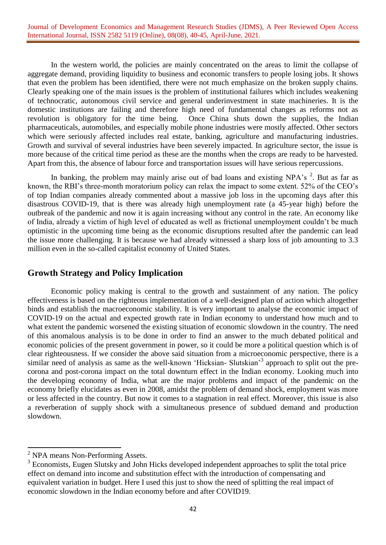In the western world, the policies are mainly concentrated on the areas to limit the collapse of aggregate demand, providing liquidity to business and economic transfers to people losing jobs. It shows that even the problem has been identified, there were not much emphasize on the broken supply chains. Clearly speaking one of the main issues is the problem of institutional failures which includes weakening of technocratic, autonomous civil service and general underinvestment in state machineries. It is the domestic institutions are failing and therefore high need of fundamental changes as reforms not as revolution is obligatory for the time being. Once China shuts down the supplies, the Indian pharmaceuticals, automobiles, and especially mobile phone industries were mostly affected. Other sectors which were seriously affected includes real estate, banking, agriculture and manufacturing industries. Growth and survival of several industries have been severely impacted. In agriculture sector, the issue is more because of the critical time period as these are the months when the crops are ready to be harvested. Apart from this, the absence of labour force and transportation issues will have serious repercussions.

In banking, the problem may mainly arise out of bad loans and existing NPA's  $2$ . But as far as known, the RBI's three-month moratorium policy can relax the impact to some extent. 52% of the CEO's of top Indian companies already commented about a massive job loss in the upcoming days after this disastrous COVID-19, that is there was already high unemployment rate (a 45-year high) before the outbreak of the pandemic and now it is again increasing without any control in the rate. An economy like of India, already a victim of high level of educated as well as frictional unemployment couldn't be much optimistic in the upcoming time being as the economic disruptions resulted after the pandemic can lead the issue more challenging. It is because we had already witnessed a sharp loss of job amounting to 3.3 million even in the so-called capitalist economy of United States.

# **Growth Strategy and Policy Implication**

Economic policy making is central to the growth and sustainment of any nation. The policy effectiveness is based on the righteous implementation of a well-designed plan of action which altogether binds and establish the macroeconomic stability. It is very important to analyse the economic impact of COVID-19 on the actual and expected growth rate in Indian economy to understand how much and to what extent the pandemic worsened the existing situation of economic slowdown in the country. The need of this anomalous analysis is to be done in order to find an answer to the much debated political and economic policies of the present government in power, so it could be more a political question which is of clear righteousness. If we consider the above said situation from a microeconomic perspective, there is a similar need of analysis as same as the well-known 'Hicksian- Slutskian'<sup>3</sup> approach to split out the precorona and post-corona impact on the total downturn effect in the Indian economy. Looking much into the developing economy of India, what are the major problems and impact of the pandemic on the economy briefly elucidates as even in 2008, amidst the problem of demand shock, employment was more or less affected in the country. But now it comes to a stagnation in real effect. Moreover, this issue is also a reverberation of supply shock with a simultaneous presence of subdued demand and production slowdown.

 $\overline{a}$ 

<sup>&</sup>lt;sup>2</sup> NPA means Non-Performing Assets.

<sup>&</sup>lt;sup>3</sup> Economists, Eugen Slutsky and John Hicks developed independent approaches to split the total price effect on demand into income and substitution effect with the introduction of compensating and equivalent variation in budget. Here I used this just to show the need of splitting the real impact of economic slowdown in the Indian economy before and after COVID19.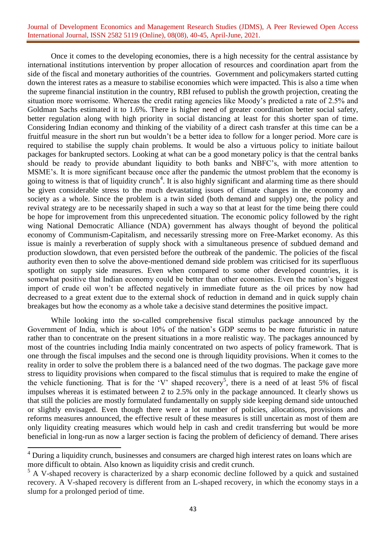Once it comes to the developing economies, there is a high necessity for the central assistance by international institutions intervention by proper allocation of resources and coordination apart from the side of the fiscal and monetary authorities of the countries. Government and policymakers started cutting down the interest rates as a measure to stabilise economies which were impacted. This is also a time when the supreme financial institution in the country, RBI refused to publish the growth projection, creating the situation more worrisome. Whereas the credit rating agencies like Moody's predicted a rate of 2.5% and Goldman Sachs estimated it to 1.6%. There is higher need of greater coordination better social safety, better regulation along with high priority in social distancing at least for this shorter span of time. Considering Indian economy and thinking of the viability of a direct cash transfer at this time can be a fruitful measure in the short run but wouldn't be a better idea to follow for a longer period. More care is required to stabilise the supply chain problems. It would be also a virtuous policy to initiate bailout packages for bankrupted sectors. Looking at what can be a good monetary policy is that the central banks should be ready to provide abundant liquidity to both banks and NBFC's, with more attention to MSME's. It is more significant because once after the pandemic the utmost problem that the economy is going to witness is that of liquidity crunch<sup>4</sup>. It is also highly significant and alarming time as there should be given considerable stress to the much devastating issues of climate changes in the economy and society as a whole. Since the problem is a twin sided (both demand and supply) one, the policy and revival strategy are to be necessarily shaped in such a way so that at least for the time being there could be hope for improvement from this unprecedented situation. The economic policy followed by the right wing National Democratic Alliance (NDA) government has always thought of beyond the political economy of Communism-Capitalism, and necessarily stressing more on Free-Market economy. As this issue is mainly a reverberation of supply shock with a simultaneous presence of subdued demand and production slowdown, that even persisted before the outbreak of the pandemic. The policies of the fiscal authority even then to solve the above-mentioned demand side problem was criticised for its superfluous spotlight on supply side measures. Even when compared to some other developed countries, it is somewhat positive that Indian economy could be better than other economies. Even the nation's biggest import of crude oil won't be affected negatively in immediate future as the oil prices by now had decreased to a great extent due to the external shock of reduction in demand and in quick supply chain breakages but how the economy as a whole take a decisive stand determines the positive impact.

While looking into the so-called comprehensive fiscal stimulus package announced by the Government of India, which is about 10% of the nation's GDP seems to be more futuristic in nature rather than to concentrate on the present situations in a more realistic way. The packages announced by most of the countries including India mainly concentrated on two aspects of policy framework. That is one through the fiscal impulses and the second one is through liquidity provisions. When it comes to the reality in order to solve the problem there is a balanced need of the two dogmas. The package gave more stress to liquidity provisions when compared to the fiscal stimulus that is required to make the engine of the vehicle functioning. That is for the 'V' shaped recovery<sup>5</sup>, there is a need of at least 5% of fiscal impulses whereas it is estimated between 2 to 2.5% only in the package announced. It clearly shows us that still the policies are mostly formulated fundamentally on supply side keeping demand side untouched or slightly envisaged. Even though there were a lot number of policies, allocations, provisions and reforms measures announced, the effective result of these measures is still uncertain as most of them are only liquidity creating measures which would help in cash and credit transferring but would be more beneficial in long-run as now a larger section is facing the problem of deficiency of demand. There arises

 $\overline{a}$ 

<sup>&</sup>lt;sup>4</sup> During a liquidity crunch, businesses and consumers are charged high interest rates on loans which are more difficult to obtain. Also known as liquidity crisis and credit crunch.

 $<sup>5</sup>$  A V-shaped recovery is characterized by a sharp economic decline followed by a quick and sustained</sup> recovery. A V-shaped recovery is different from an L-shaped recovery, in which the economy stays in a slump for a prolonged period of time.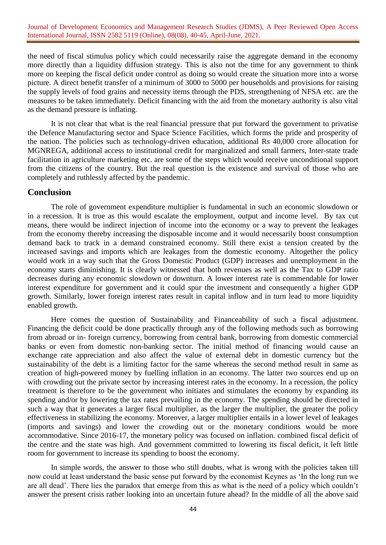the need of fiscal stimulus policy which could necessarily raise the aggregate demand in the economy more directly than a liquidity diffusion strategy. This is also not the time for any government to think more on keeping the fiscal deficit under control as doing so would create the situation more into a worse picture. A direct benefit transfer of a minimum of 3000 to 5000 per households and provisions for raising the supply levels of food grains and necessity items through the PDS, strengthening of NFSA etc. are the measures to be taken immediately. Deficit financing with the aid from the monetary authority is also vital as the demand pressure is inflating.

It is not clear that what is the real financial pressure that put forward the government to privatise the Defence Manufacturing sector and Space Science Facilities, which forms the pride and prosperity of the nation. The policies such as technology-driven education, additional Rs 40,000 crore allocation for MGNREGA, additional access to institutional credit for marginalized and small farmers, Inter-state trade facilitation in agriculture marketing etc. are some of the steps which would receive unconditional support from the citizens of the country. But the real question is the existence and survival of those who are completely and ruthlessly affected by the pandemic.

## **Conclusion**

The role of government expenditure multiplier is fundamental in such an economic slowdown or in a recession. It is true as this would escalate the employment, output and income level. By tax cut means, there would be indirect injection of income into the economy or a way to prevent the leakages from the economy thereby increasing the disposable income and it would necessarily boost consumption demand back to track in a demand constrained economy. Still there exist a tension created by the increased savings and imports which are leakages from the domestic economy. Altogether the policy would work in a way such that the Gross Domestic Product (GDP) increases and unemployment in the economy starts diminishing. It is clearly witnessed that both revenues as well as the Tax to GDP ratio decreases during any economic slowdown or downturn. A lower interest rate is commendable for lower interest expenditure for government and it could spur the investment and consequently a higher GDP growth. Similarly, lower foreign interest rates result in capital inflow and in turn lead to more liquidity enabled growth.

Here comes the question of Sustainability and Financeability of such a fiscal adjustment. Financing the deficit could be done practically through any of the following methods such as borrowing from abroad or in- foreign currency, borrowing from central bank, borrowing from domestic commercial banks or even from domestic non-banking sector. The initial method of financing would cause an exchange rate appreciation and also affect the value of external debt in domestic currency but the sustainability of the debt is a limiting factor for the same whereas the second method result in same as creation of high-powered money by fuelling inflation in an economy. The latter two sources end up on with crowding out the private sector by increasing interest rates in the economy. In a recession, the policy treatment is therefore to be the government who initiates and stimulates the economy by expanding its spending and/or by lowering the tax rates prevailing in the economy. The spending should be directed in such a way that it generates a larger fiscal multiplier, as the larger the multiplier, the greater the policy effectiveness in stabilizing the economy. Moreover, a larger multiplier entails in a lower level of leakages (imports and savings) and lower the crowding out or the monetary conditions would be more accommodative. Since 2016-17, the monetary policy was focused on inflation. combined fiscal deficit of the centre and the state was high. And government committed to lowering its fiscal deficit, it left little room for government to increase its spending to boost the economy.

In simple words, the answer to those who still doubts, what is wrong with the policies taken till now could at least understand the basic sense put forward by the economist Keynes as 'In the long run we are all dead'. There lies the paradox that emerge from this as what is the need of a policy which couldn't answer the present crisis rather looking into an uncertain future ahead? In the middle of all the above said